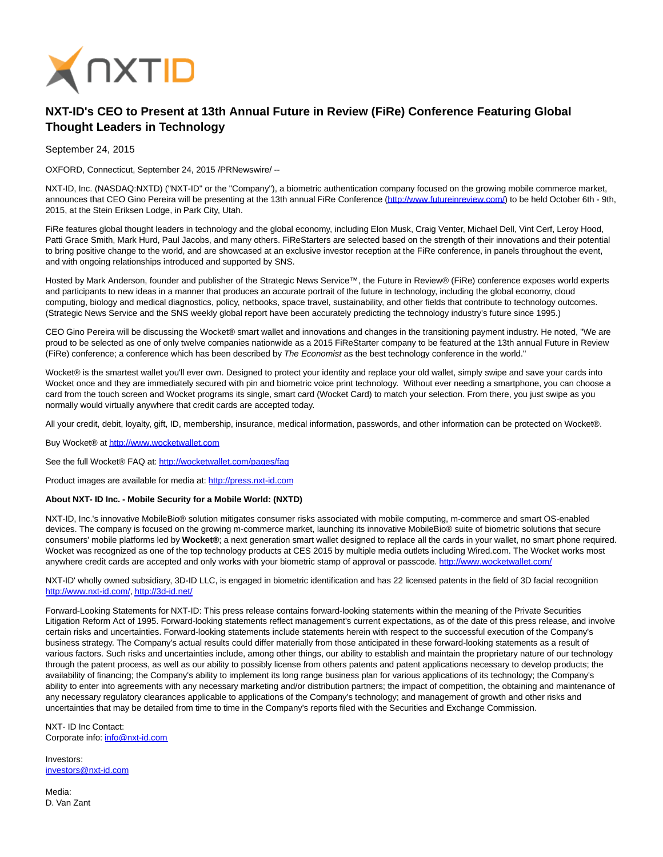

## **NXT-ID's CEO to Present at 13th Annual Future in Review (FiRe) Conference Featuring Global Thought Leaders in Technology**

September 24, 2015

OXFORD, Connecticut, September 24, 2015 /PRNewswire/ --

NXT-ID, Inc. (NASDAQ:NXTD) ("NXT-ID" or the "Company"), a biometric authentication company focused on the growing mobile commerce market, announces that CEO Gino Pereira will be presenting at the 13th annual FiRe Conference [\(http://www.futureinreview.com/\)](http://www.futureinreview.com/) to be held October 6th - 9th, 2015, at the Stein Eriksen Lodge, in Park City, Utah.

FiRe features global thought leaders in technology and the global economy, including Elon Musk, Craig Venter, Michael Dell, Vint Cerf, Leroy Hood, Patti Grace Smith, Mark Hurd, Paul Jacobs, and many others. FiReStarters are selected based on the strength of their innovations and their potential to bring positive change to the world, and are showcased at an exclusive investor reception at the FiRe conference, in panels throughout the event, and with ongoing relationships introduced and supported by SNS.

Hosted by Mark Anderson, founder and publisher of the Strategic News Service™, the Future in Review® (FiRe) conference exposes world experts and participants to new ideas in a manner that produces an accurate portrait of the future in technology, including the global economy, cloud computing, biology and medical diagnostics, policy, netbooks, space travel, sustainability, and other fields that contribute to technology outcomes. (Strategic News Service and the SNS weekly global report have been accurately predicting the technology industry's future since 1995.)

CEO Gino Pereira will be discussing the Wocket® smart wallet and innovations and changes in the transitioning payment industry. He noted, "We are proud to be selected as one of only twelve companies nationwide as a 2015 FiReStarter company to be featured at the 13th annual Future in Review (FiRe) conference; a conference which has been described by The Economist as the best technology conference in the world."

Wocket® is the smartest wallet you'll ever own. Designed to protect your identity and replace your old wallet, simply swipe and save your cards into Wocket once and they are immediately secured with pin and biometric voice print technology. Without ever needing a smartphone, you can choose a card from the touch screen and Wocket programs its single, smart card (Wocket Card) to match your selection. From there, you just swipe as you normally would virtually anywhere that credit cards are accepted today.

All your credit, debit, loyalty, gift, ID, membership, insurance, medical information, passwords, and other information can be protected on Wocket®.

Buy Wocket® at [http://www.wocketwallet.com](http://www.wocketwallet.com/)

See the full Wocket® FAQ at:<http://wocketwallet.com/pages/faq>

Product images are available for media at: [http://press.nxt-id.com](http://press.nxt-id.com/)

## **About NXT- ID Inc. - Mobile Security for a Mobile World: (NXTD)**

NXT-ID, Inc.'s innovative MobileBio® solution mitigates consumer risks associated with mobile computing, m-commerce and smart OS-enabled devices. The company is focused on the growing m-commerce market, launching its innovative MobileBio® suite of biometric solutions that secure consumers' mobile platforms led by **Wocket®**; a next generation smart wallet designed to replace all the cards in your wallet, no smart phone required. Wocket was recognized as one of the top technology products at CES 2015 by multiple media outlets including Wired.com. The Wocket works most anywhere credit cards are accepted and only works with your biometric stamp of approval or passcode.<http://www.wocketwallet.com/>

NXT-ID' wholly owned subsidiary, 3D-ID LLC, is engaged in biometric identification and has 22 licensed patents in the field of 3D facial recognition [http://www.nxt-id.com/,](http://www.nxt-id.com/)<http://3d-id.net/>

Forward-Looking Statements for NXT-ID: This press release contains forward-looking statements within the meaning of the Private Securities Litigation Reform Act of 1995. Forward-looking statements reflect management's current expectations, as of the date of this press release, and involve certain risks and uncertainties. Forward-looking statements include statements herein with respect to the successful execution of the Company's business strategy. The Company's actual results could differ materially from those anticipated in these forward-looking statements as a result of various factors. Such risks and uncertainties include, among other things, our ability to establish and maintain the proprietary nature of our technology through the patent process, as well as our ability to possibly license from others patents and patent applications necessary to develop products; the availability of financing; the Company's ability to implement its long range business plan for various applications of its technology; the Company's ability to enter into agreements with any necessary marketing and/or distribution partners; the impact of competition, the obtaining and maintenance of any necessary regulatory clearances applicable to applications of the Company's technology; and management of growth and other risks and uncertainties that may be detailed from time to time in the Company's reports filed with the Securities and Exchange Commission.

NXT- ID Inc Contact: Corporate info: [info@nxt-id.com](mailto:info@nxt-id.com)

Investors: [investors@nxt-id.com](mailto:investors@nxt-id.com)

Media: D. Van Zant